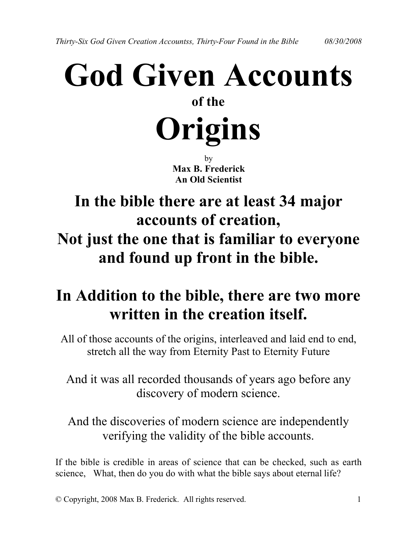# **God Given Accounts of the Origins**

by **Max B. Frederick An Old Scientist**

# **In the bible there are at least 34 major accounts of creation, Not just the one that is familiar to everyone and found up front in the bible.**

# **In Addition to the bible, there are two more written in the creation itself.**

All of those accounts of the origins, interleaved and laid end to end, stretch all the way from Eternity Past to Eternity Future

And it was all recorded thousands of years ago before any discovery of modern science.

And the discoveries of modern science are independently verifying the validity of the bible accounts.

If the bible is credible in areas of science that can be checked, such as earth science, What, then do you do with what the bible says about eternal life?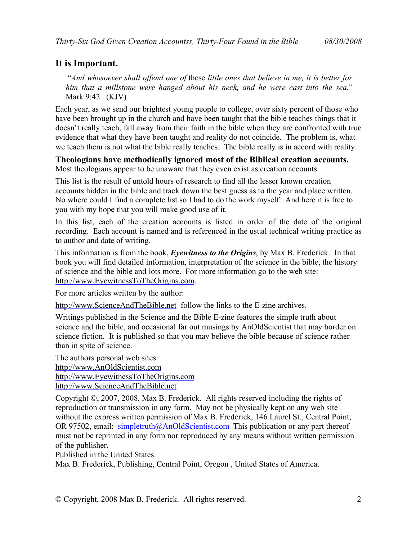#### **It is Important.**

"*And whosoever shall offend one of* these *little ones that believe in me, it is better for him that a millstone were hanged about his neck, and he were cast into the sea.*" Mark 9:42 (KJV)

Each year, as we send our brightest young people to college, over sixty percent of those who have been brought up in the church and have been taught that the bible teaches things that it doesn't really teach, fall away from their faith in the bible when they are confronted with true evidence that what they have been taught and reality do not coincide. The problem is, what we teach them is not what the bible really teaches. The bible really is in accord with reality.

**Theologians have methodically ignored most of the Biblical creation accounts.** Most theologians appear to be unaware that they even exist as creation accounts.

This list is the result of untold hours of research to find all the lesser known creation accounts hidden in the bible and track down the best guess as to the year and place written. No where could I find a complete list so I had to do the work myself. And here it is free to you with my hope that you will make good use of it.

In this list, each of the creation accounts is listed in order of the date of the original recording. Each account is named and is referenced in the usual technical writing practice as to author and date of writing.

This information is from the book, *Eyewitness to the Origins*, by Max B. Frederick. In that book you will find detailed information, interpretation of the science in the bible, the history of science and the bible and lots more. For more information go to the web site: [http://www.EyewitnessToTheOrigins.co](http://www.eyewitnesstotheorigins.com/)[m.](http://www.EyewitnessToTheOrigins.com)

For more articles written by the author:

[http://www.ScienceAndTheBible.ne](http://www.scienceandthebible.net/)[t](http://www.ScienceAndTheBible.net) follow the links to the E-zine archives.

Writings published in the Science and the Bible E-zine features the simple truth about science and the bible, and occasional far out musings by AnOldScientist that may border on science fiction. It is published so that you may believe the bible because of science rather than in spite of science.

The authors personal web sites: [http://www.AnOldScientist.co](http://www.anoldscientist.com/)[m](http://www.AnOldScientist.com) [http://www.EyewitnessToTheOrigins.co](http://www.eyewitnesstotheorigins.com/)[m](http://www.EyewitnessToTheOrigins.com) [http://www.ScienceAndTheBible.ne](http://www.scienceandthebible.net/)[t](http://www.ScienceAndTheBible.net)

Copyright ©, 2007, 2008, Max B. Frederick. All rights reserved including the rights of reproduction or transmission in any form. May not be physically kept on any web site without the express written permission of Max B. Frederick, 146 Laurel St., Central Point, OR 97502, email: [simpletruth@AnOldScientist.com](mailto:simpletruth@AnOldScientist.com) This publication or any part thereof must not be reprinted in any form nor reproduced by any means without written permission of the publisher.

Published in the United States.

Max B. Frederick, Publishing, Central Point, Oregon , United States of America.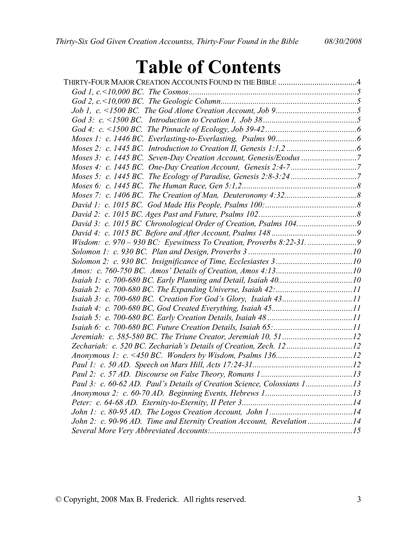# **Table of Contents**

| Zechariah: c. 520 BC. Zechariah's Details of Creation, Zech. 1212       |  |
|-------------------------------------------------------------------------|--|
|                                                                         |  |
|                                                                         |  |
|                                                                         |  |
| Paul 3: c. 60-62 AD. Paul's Details of Creation Science, Colossians 113 |  |
|                                                                         |  |
|                                                                         |  |
|                                                                         |  |
| John 2: c. 90-96 AD. Time and Eternity Creation Account, Revelation 14  |  |
|                                                                         |  |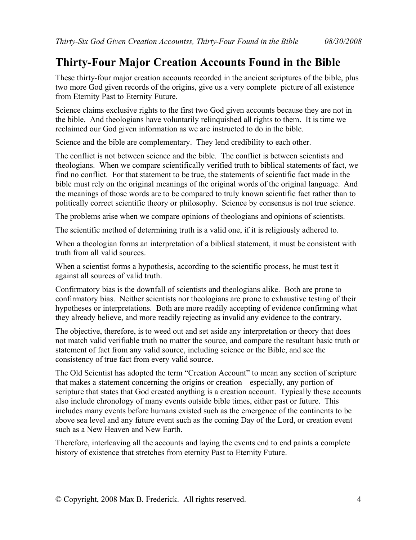### <span id="page-3-0"></span>**Thirty-Four Major Creation Accounts Found in the Bible**

These thirty-four major creation accounts recorded in the ancient scriptures of the bible, plus two more God given records of the origins, give us a very complete picture of all existence from Eternity Past to Eternity Future.

Science claims exclusive rights to the first two God given accounts because they are not in the bible. And theologians have voluntarily relinquished all rights to them. It is time we reclaimed our God given information as we are instructed to do in the bible.

Science and the bible are complementary. They lend credibility to each other.

The conflict is not between science and the bible. The conflict is between scientists and theologians. When we compare scientifically verified truth to biblical statements of fact, we find no conflict. For that statement to be true, the statements of scientific fact made in the bible must rely on the original meanings of the original words of the original language. And the meanings of those words are to be compared to truly known scientific fact rather than to politically correct scientific theory or philosophy. Science by consensus is not true science.

The problems arise when we compare opinions of theologians and opinions of scientists.

The scientific method of determining truth is a valid one, if it is religiously adhered to.

When a theologian forms an interpretation of a biblical statement, it must be consistent with truth from all valid sources.

When a scientist forms a hypothesis, according to the scientific process, he must test it against all sources of valid truth.

Confirmatory bias is the downfall of scientists and theologians alike. Both are prone to confirmatory bias. Neither scientists nor theologians are prone to exhaustive testing of their hypotheses or interpretations. Both are more readily accepting of evidence confirming what they already believe, and more readily rejecting as invalid any evidence to the contrary.

The objective, therefore, is to weed out and set aside any interpretation or theory that does not match valid verifiable truth no matter the source, and compare the resultant basic truth or statement of fact from any valid source, including science or the Bible, and see the consistency of true fact from every valid source.

The Old Scientist has adopted the term "Creation Account" to mean any section of scripture that makes a statement concerning the origins or creation—especially, any portion of scripture that states that God created anything is a creation account. Typically these accounts also include chronology of many events outside bible times, either past or future. This includes many events before humans existed such as the emergence of the continents to be above sea level and any future event such as the coming Day of the Lord, or creation event such as a New Heaven and New Earth.

Therefore, interleaving all the accounts and laying the events end to end paints a complete history of existence that stretches from eternity Past to Eternity Future.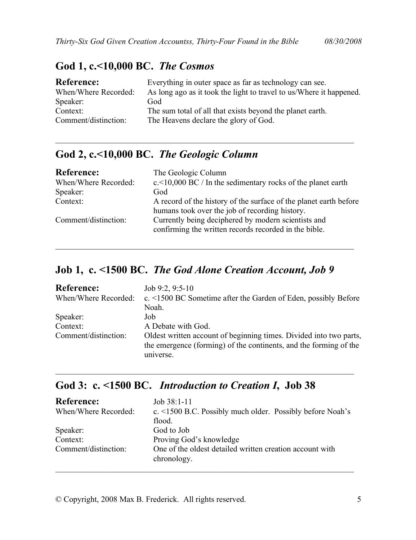#### <span id="page-4-0"></span>**God 1, c.<10,000 BC.** *The Cosmos*

| <b>Reference:</b>    | Everything in outer space as far as technology can see.             |
|----------------------|---------------------------------------------------------------------|
| When/Where Recorded: | As long ago as it took the light to travel to us/Where it happened. |
| Speaker:             | God                                                                 |
| Context:             | The sum total of all that exists beyond the planet earth.           |
| Comment/distinction: | The Heavens declare the glory of God.                               |

\_\_\_\_\_\_\_\_\_\_\_\_\_\_\_\_\_\_\_\_\_\_\_\_\_\_\_\_\_\_\_\_\_\_\_\_\_\_\_\_\_\_\_\_\_\_\_\_\_\_\_\_\_\_\_\_\_\_\_\_\_\_\_\_\_\_\_\_\_\_\_\_\_

#### **God 2, c.<10,000 BC.** *The Geologic Column*

| <b>Reference:</b>    | The Geologic Column                                                                                          |
|----------------------|--------------------------------------------------------------------------------------------------------------|
| When/Where Recorded: | $c$ < 10,000 BC / In the sedimentary rocks of the planet earth                                               |
| Speaker:             | God                                                                                                          |
| Context:             | A record of the history of the surface of the planet earth before                                            |
|                      | humans took over the job of recording history.                                                               |
| Comment/distinction: | Currently being deciphered by modern scientists and<br>confirming the written records recorded in the bible. |
|                      |                                                                                                              |

\_\_\_\_\_\_\_\_\_\_\_\_\_\_\_\_\_\_\_\_\_\_\_\_\_\_\_\_\_\_\_\_\_\_\_\_\_\_\_\_\_\_\_\_\_\_\_\_\_\_\_\_\_\_\_\_\_\_\_\_\_\_\_\_\_\_\_\_\_\_\_\_\_

#### **Job 1, c. <1500 BC.** *The God Alone Creation Account, Job 9*

| <b>Reference:</b>    | Job 9:2, 9:5-10                                                      |
|----------------------|----------------------------------------------------------------------|
| When/Where Recorded: | c. $\leq$ 1500 BC Sometime after the Garden of Eden, possibly Before |
|                      | Noah.                                                                |
| Speaker:             | Job                                                                  |
| Context:             | A Debate with God.                                                   |
| Comment/distinction: | Oldest written account of beginning times. Divided into two parts,   |
|                      | the emergence (forming) of the continents, and the forming of the    |
|                      | universe.                                                            |

#### **God 3: c. <1500 BC.** *Introduction to Creation I***, Job 38**

| <b>Reference:</b><br>When/Where Recorded:    | $Job 38:1-11$<br>c. $\le$ 1500 B.C. Possibly much older. Possibly before Noah's<br>flood.                        |
|----------------------------------------------|------------------------------------------------------------------------------------------------------------------|
| Speaker:<br>Context:<br>Comment/distinction: | God to Job<br>Proving God's knowledge<br>One of the oldest detailed written creation account with<br>chronology. |
|                                              |                                                                                                                  |

\_\_\_\_\_\_\_\_\_\_\_\_\_\_\_\_\_\_\_\_\_\_\_\_\_\_\_\_\_\_\_\_\_\_\_\_\_\_\_\_\_\_\_\_\_\_\_\_\_\_\_\_\_\_\_\_\_\_\_\_\_\_\_\_\_\_\_\_\_\_\_\_\_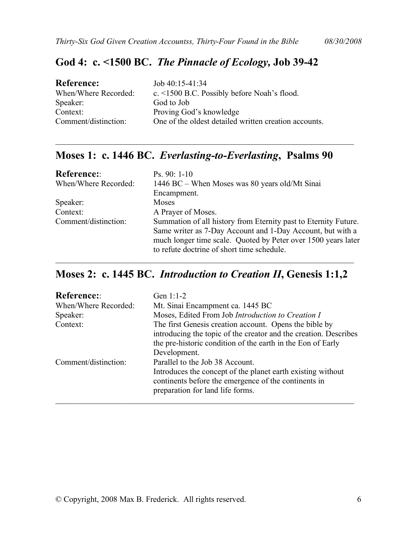#### <span id="page-5-0"></span>**God 4: c. <1500 BC.** *The Pinnacle of Ecology,* **Job 39-42**

| Job $40:15-41:34$                                     |
|-------------------------------------------------------|
| c. <1500 B.C. Possibly before Noah's flood.           |
| God to Job                                            |
| Proving God's knowledge                               |
| One of the oldest detailed written creation accounts. |
|                                                       |

#### **Moses 1: c. 1446 BC.** *Everlasting-to-Everlasting***, Psalms 90**

\_\_\_\_\_\_\_\_\_\_\_\_\_\_\_\_\_\_\_\_\_\_\_\_\_\_\_\_\_\_\_\_\_\_\_\_\_\_\_\_\_\_\_\_\_\_\_\_\_\_\_\_\_\_\_\_\_\_\_\_\_\_\_\_\_\_\_\_\_\_\_\_\_

| <b>Reference:</b>    | $\mathrm{Ps}$ , 90: 1-10                                        |
|----------------------|-----------------------------------------------------------------|
| When/Where Recorded: | 1446 BC – When Moses was 80 years old/Mt Sinai                  |
|                      | Encampment.                                                     |
| Speaker:             | Moses                                                           |
| Context:             | A Prayer of Moses.                                              |
| Comment/distinction: | Summation of all history from Eternity past to Eternity Future. |
|                      | Same writer as 7-Day Account and 1-Day Account, but with a      |
|                      | much longer time scale. Quoted by Peter over 1500 years later   |
|                      | to refute doctrine of short time schedule.                      |

#### **Moses 2: c. 1445 BC.** *Introduction to Creation II***, Genesis 1:1,2**

\_\_\_\_\_\_\_\_\_\_\_\_\_\_\_\_\_\_\_\_\_\_\_\_\_\_\_\_\_\_\_\_\_\_\_\_\_\_\_\_\_\_\_\_\_\_\_\_\_\_\_\_\_\_\_\_\_\_\_\_\_\_\_\_\_\_\_\_\_\_\_\_\_

| <b>Reference::</b>   | Gen $1:1-2$                                                                                                                                                                                               |
|----------------------|-----------------------------------------------------------------------------------------------------------------------------------------------------------------------------------------------------------|
| When/Where Recorded: | Mt. Sinai Encampment ca. 1445 BC                                                                                                                                                                          |
| Speaker:             | Moses, Edited From Job Introduction to Creation I                                                                                                                                                         |
| Context:             | The first Genesis creation account. Opens the bible by<br>introducing the topic of the creator and the creation. Describes<br>the pre-historic condition of the earth in the Eon of Early<br>Development. |
| Comment/distinction: | Parallel to the Job 38 Account.<br>Introduces the concept of the planet earth existing without<br>continents before the emergence of the continents in<br>preparation for land life forms.                |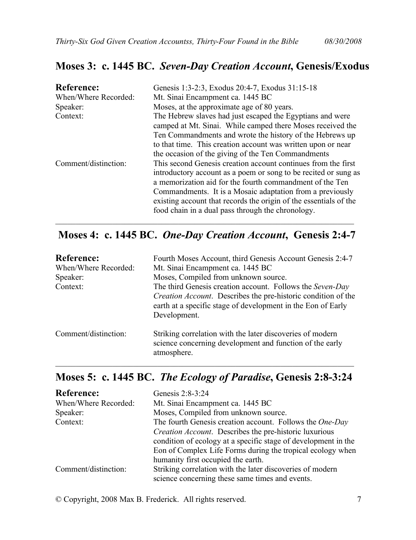#### <span id="page-6-0"></span>**Moses 3: c. 1445 BC.** *Seven-Day Creation Account***, Genesis/Exodus**

| <b>Reference:</b><br>When/Where Recorded:<br>Speaker:<br>Context: | Genesis 1:3-2:3, Exodus 20:4-7, Exodus 31:15-18<br>Mt. Sinai Encampment ca. 1445 BC<br>Moses, at the approximate age of 80 years.<br>The Hebrew slaves had just escaped the Egyptians and were<br>camped at Mt. Sinai. While camped there Moses received the<br>Ten Commandments and wrote the history of the Hebrews up<br>to that time. This creation account was written upon or near<br>the occasion of the giving of the Ten Commandments |
|-------------------------------------------------------------------|------------------------------------------------------------------------------------------------------------------------------------------------------------------------------------------------------------------------------------------------------------------------------------------------------------------------------------------------------------------------------------------------------------------------------------------------|
| Comment/distinction:                                              | This second Genesis creation account continues from the first<br>introductory account as a poem or song to be recited or sung as<br>a memorization aid for the fourth commandment of the Ten<br>Commandments. It is a Mosaic adaptation from a previously<br>existing account that records the origin of the essentials of the<br>food chain in a dual pass through the chronology.                                                            |

#### **Moses 4: c. 1445 BC.** *One-Day Creation Account***, Genesis 2:4-7**

| <b>Reference:</b><br>When/Where Recorded: | Fourth Moses Account, third Genesis Account Genesis 2:4-7<br>Mt. Sinai Encampment ca. 1445 BC                                                                                                                     |
|-------------------------------------------|-------------------------------------------------------------------------------------------------------------------------------------------------------------------------------------------------------------------|
| Speaker:                                  | Moses, Compiled from unknown source.                                                                                                                                                                              |
| Context:                                  | The third Genesis creation account. Follows the Seven-Day<br><i>Creation Account.</i> Describes the pre-historic condition of the<br>earth at a specific stage of development in the Eon of Early<br>Development. |
| Comment/distinction:                      | Striking correlation with the later discoveries of modern<br>science concerning development and function of the early<br>atmosphere.                                                                              |

#### **Moses 5: c. 1445 BC.** *The Ecology of Paradise***, Genesis 2:8-3:24**

\_\_\_\_\_\_\_\_\_\_\_\_\_\_\_\_\_\_\_\_\_\_\_\_\_\_\_\_\_\_\_\_\_\_\_\_\_\_\_\_\_\_\_\_\_\_\_\_\_\_\_\_\_\_\_\_\_\_\_\_\_\_\_\_\_\_\_\_\_\_\_\_\_

| <b>Reference:</b>    | Genesis 2:8-3:24                                               |
|----------------------|----------------------------------------------------------------|
| When/Where Recorded: | Mt. Sinai Encampment ca. 1445 BC                               |
| Speaker:             | Moses, Compiled from unknown source.                           |
| Context:             | The fourth Genesis creation account. Follows the One-Day       |
|                      | <i>Creation Account.</i> Describes the pre-historic luxurious  |
|                      | condition of ecology at a specific stage of development in the |
|                      | Eon of Complex Life Forms during the tropical ecology when     |
|                      | humanity first occupied the earth.                             |
| Comment/distinction: | Striking correlation with the later discoveries of modern      |
|                      | science concerning these same times and events.                |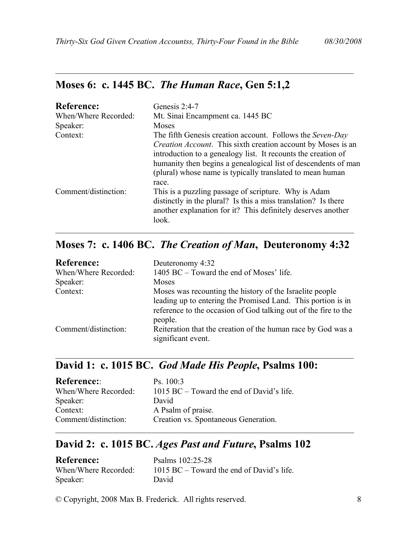#### **Moses 6: c. 1445 BC.** *The Human Race***, Gen 5:1,2**

| <b>Reference:</b><br>When/Where Recorded:<br>Speaker:<br>Context: | Genesis $2:4-7$<br>Mt. Sinai Encampment ca. 1445 BC<br>Moses<br>The fifth Genesis creation account. Follows the Seven-Day<br><i>Creation Account.</i> This sixth creation account by Moses is an<br>introduction to a genealogy list. It recounts the creation of<br>humanity then begins a genealogical list of descendents of man<br>(plural) whose name is typically translated to mean human<br>race. |
|-------------------------------------------------------------------|-----------------------------------------------------------------------------------------------------------------------------------------------------------------------------------------------------------------------------------------------------------------------------------------------------------------------------------------------------------------------------------------------------------|
| Comment/distinction:                                              | This is a puzzling passage of scripture. Why is Adam<br>distinctly in the plural? Is this a miss translation? Is there<br>another explanation for it? This definitely deserves another<br>look.                                                                                                                                                                                                           |

<span id="page-7-0"></span>\_\_\_\_\_\_\_\_\_\_\_\_\_\_\_\_\_\_\_\_\_\_\_\_\_\_\_\_\_\_\_\_\_\_\_\_\_\_\_\_\_\_\_\_\_\_\_\_\_\_\_\_\_\_\_\_\_\_\_\_\_\_\_\_\_\_\_\_\_\_\_\_\_

#### **Moses 7: c. 1406 BC.** *The Creation of Man***, Deuteronomy 4:32**

| <b>Reference:</b>    | Deuteronomy 4:32                                                                                                                                                                                       |
|----------------------|--------------------------------------------------------------------------------------------------------------------------------------------------------------------------------------------------------|
| When/Where Recorded: | 1405 BC – Toward the end of Moses' life.                                                                                                                                                               |
| Speaker:             | Moses                                                                                                                                                                                                  |
| Context:             | Moses was recounting the history of the Israelite people<br>leading up to entering the Promised Land. This portion is in<br>reference to the occasion of God talking out of the fire to the<br>people. |
| Comment/distinction: | Reiteration that the creation of the human race by God was a<br>significant event.                                                                                                                     |

\_\_\_\_\_\_\_\_\_\_\_\_\_\_\_\_\_\_\_\_\_\_\_\_\_\_\_\_\_\_\_\_\_\_\_\_\_\_\_\_\_\_\_\_\_\_\_\_\_\_\_\_\_\_\_\_\_\_\_\_\_\_\_\_\_\_\_\_\_\_\_\_\_

\_\_\_\_\_\_\_\_\_\_\_\_\_\_\_\_\_\_\_\_\_\_\_\_\_\_\_\_\_\_\_\_\_\_\_\_\_\_\_\_\_\_\_\_\_\_\_\_\_\_\_\_\_\_\_\_\_\_\_\_\_\_\_\_\_\_\_\_\_\_\_\_\_

#### **David 1: c. 1015 BC.** *God Made His People***, Psalms 100:**

| <b>Reference:</b>    | Ps. 100:3                                   |
|----------------------|---------------------------------------------|
| When/Where Recorded: | $1015$ BC – Toward the end of David's life. |
| Speaker:             | David                                       |
| Context:             | A Psalm of praise.                          |
| Comment/distinction: | Creation vs. Spontaneous Generation.        |

#### **David 2: c. 1015 BC.** *Ages Past and Future***, Psalms 102**

| <b>Reference:</b>    | Psalms 102:25-28                          |
|----------------------|-------------------------------------------|
| When/Where Recorded: | 1015 BC – Toward the end of David's life. |
| Speaker:             | David                                     |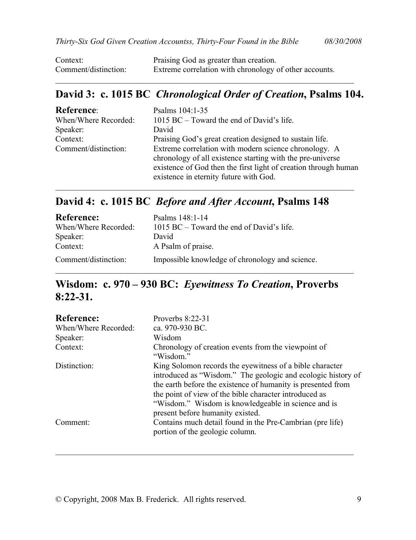<span id="page-8-0"></span>

| Context:             | Praising God as greater than creation.                 |
|----------------------|--------------------------------------------------------|
| Comment/distinction: | Extreme correlation with chronology of other accounts. |

#### **David 3: c. 1015 BC** *Chronological Order of Creation***, Psalms 104.**

 $\_$  , and the set of the set of the set of the set of the set of the set of the set of the set of the set of the set of the set of the set of the set of the set of the set of the set of the set of the set of the set of th

| <b>Reference:</b>    | Psalms 104:1-35                                                                                                                                                                                                                  |
|----------------------|----------------------------------------------------------------------------------------------------------------------------------------------------------------------------------------------------------------------------------|
| When/Where Recorded: | 1015 BC – Toward the end of David's life.                                                                                                                                                                                        |
| Speaker:             | David                                                                                                                                                                                                                            |
| Context:             | Praising God's great creation designed to sustain life.                                                                                                                                                                          |
| Comment/distinction: | Extreme correlation with modern science chronology. A<br>chronology of all existence starting with the pre-universe<br>existence of God then the first light of creation through human<br>existence in eternity future with God. |

\_\_\_\_\_\_\_\_\_\_\_\_\_\_\_\_\_\_\_\_\_\_\_\_\_\_\_\_\_\_\_\_\_\_\_\_\_\_\_\_\_\_\_\_\_\_\_\_\_\_\_\_\_\_\_\_\_\_\_\_\_\_\_\_\_\_\_\_\_\_\_\_\_

#### **David 4: c. 1015 BC** *Before and After Account***, Psalms 148**

| <b>Reference:</b>    | Psalms 148:1-14                                 |
|----------------------|-------------------------------------------------|
| When/Where Recorded: | $1015$ BC – Toward the end of David's life.     |
| Speaker:             | David                                           |
| Context:             | A Psalm of praise.                              |
| Comment/distinction: | Impossible knowledge of chronology and science. |

#### **Wisdom: c. 970 – 930 BC:** *Eyewitness To Creation***, Proverbs 8:22-31.**

| <b>Reference:</b>    | Proverbs $8:22-31$                                                                                                                                                                                                                                                                                                                            |
|----------------------|-----------------------------------------------------------------------------------------------------------------------------------------------------------------------------------------------------------------------------------------------------------------------------------------------------------------------------------------------|
| When/Where Recorded: | ca. 970-930 BC.                                                                                                                                                                                                                                                                                                                               |
| Speaker:             | Wisdom                                                                                                                                                                                                                                                                                                                                        |
| Context:             | Chronology of creation events from the viewpoint of<br>"Wisdom."                                                                                                                                                                                                                                                                              |
| Distinction:         | King Solomon records the eyewitness of a bible character<br>introduced as "Wisdom." The geologic and ecologic history of<br>the earth before the existence of humanity is presented from<br>the point of view of the bible character introduced as<br>"Wisdom." Wisdom is knowledgeable in science and is<br>present before humanity existed. |
| Comment:             | Contains much detail found in the Pre-Cambrian (pre life)<br>portion of the geologic column.                                                                                                                                                                                                                                                  |

 $\_$  , and the set of the set of the set of the set of the set of the set of the set of the set of the set of the set of the set of the set of the set of the set of the set of the set of the set of the set of the set of th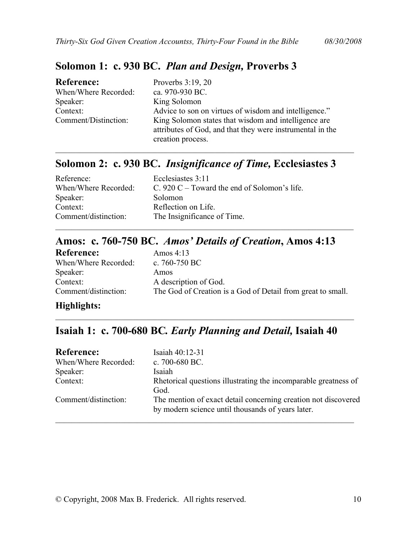#### <span id="page-9-0"></span>**Solomon 1: c. 930 BC.** *Plan and Design,* **Proverbs 3**

| <b>Reference:</b>    | Proverbs $3:19, 20$                                       |
|----------------------|-----------------------------------------------------------|
| When/Where Recorded: | ca. 970-930 BC.                                           |
| Speaker:             | King Solomon                                              |
| Context:             | Advice to son on virtues of wisdom and intelligence."     |
| Comment/Distinction: | King Solomon states that wisdom and intelligence are      |
|                      | attributes of God, and that they were instrumental in the |
|                      | creation process.                                         |

#### **Solomon 2: c. 930 BC.** *Insignificance of Time,* **Ecclesiastes 3**

\_\_\_\_\_\_\_\_\_\_\_\_\_\_\_\_\_\_\_\_\_\_\_\_\_\_\_\_\_\_\_\_\_\_\_\_\_\_\_\_\_\_\_\_\_\_\_\_\_\_\_\_\_\_\_\_\_\_\_\_\_\_\_\_\_\_\_\_\_\_\_\_\_

| Reference:<br>When/Where Recorded: | Ecclesiastes 3:11<br>C. 920 C – Toward the end of Solomon's life. |
|------------------------------------|-------------------------------------------------------------------|
| Speaker:                           | Solomon                                                           |
| Context:                           | Reflection on Life.                                               |
| Comment/distinction:               | The Insignificance of Time.                                       |
|                                    |                                                                   |

#### **Amos: c. 760-750 BC.** *Amos' Details of Creation***, Amos 4:13**

| <b>Reference:</b>    | Amos $4:13$                                                 |
|----------------------|-------------------------------------------------------------|
| When/Where Recorded: | c. $760-750$ BC                                             |
| Speaker:             | Amos                                                        |
| Context:             | A description of God.                                       |
| Comment/distinction: | The God of Creation is a God of Detail from great to small. |

#### **Highlights:**

#### **Isaiah 1: c. 700-680 BC***. Early Planning and Detail,* **Isaiah 40**

\_\_\_\_\_\_\_\_\_\_\_\_\_\_\_\_\_\_\_\_\_\_\_\_\_\_\_\_\_\_\_\_\_\_\_\_\_\_\_\_\_\_\_\_\_\_\_\_\_\_\_\_\_\_\_\_\_\_\_\_\_\_\_\_\_\_\_\_\_\_\_\_\_

| <b>Reference:</b>    | Isaiah 40:12-31                                                                                                     |
|----------------------|---------------------------------------------------------------------------------------------------------------------|
| When/Where Recorded: | c. $700-680$ BC.                                                                                                    |
| Speaker:             | Isaiah                                                                                                              |
| Context:             | Rhetorical questions illustrating the incomparable greatness of<br>God.                                             |
| Comment/distinction: | The mention of exact detail concerning creation not discovered<br>by modern science until thousands of years later. |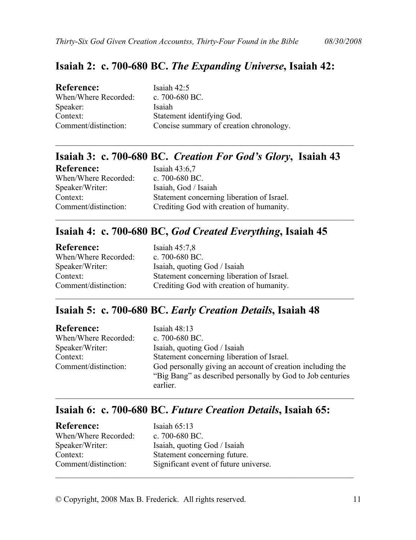#### <span id="page-10-0"></span>**Isaiah 2: c. 700-680 BC.** *The Expanding Universe***, Isaiah 42:**

| <b>Reference:</b>    | Isaiah $42:5$                           |
|----------------------|-----------------------------------------|
| When/Where Recorded: | c. $700-680$ BC.                        |
| Speaker:             | Isaiah                                  |
| Context:             | Statement identifying God.              |
| Comment/distinction: | Concise summary of creation chronology. |

#### **Isaiah 3: c. 700-680 BC.** *Creation For God's Glory***, Isaiah 43**

\_\_\_\_\_\_\_\_\_\_\_\_\_\_\_\_\_\_\_\_\_\_\_\_\_\_\_\_\_\_\_\_\_\_\_\_\_\_\_\_\_\_\_\_\_\_\_\_\_\_\_\_\_\_\_\_\_\_\_\_\_\_\_\_\_\_\_\_\_\_\_\_\_

\_\_\_\_\_\_\_\_\_\_\_\_\_\_\_\_\_\_\_\_\_\_\_\_\_\_\_\_\_\_\_\_\_\_\_\_\_\_\_\_\_\_\_\_\_\_\_\_\_\_\_\_\_\_\_\_\_\_\_\_\_\_\_\_\_\_\_\_\_\_\_\_\_

| <b>Reference:</b>    | Isaiah $43:6,7$                            |
|----------------------|--------------------------------------------|
| When/Where Recorded: | c. $700-680$ BC.                           |
| Speaker/Writer:      | Isaiah, God / Isaiah                       |
| Context:             | Statement concerning liberation of Israel. |
| Comment/distinction: | Crediting God with creation of humanity.   |

#### **Isaiah 4: c. 700-680 BC,** *God Created Everything***, Isaiah 45**

| <b>Reference:</b>    | Isaiah $45:7,8$                            |
|----------------------|--------------------------------------------|
| When/Where Recorded: | c. 700-680 BC.                             |
| Speaker/Writer:      | Isaiah, quoting God / Isaiah               |
| Context:             | Statement concerning liberation of Israel. |
| Comment/distinction: | Crediting God with creation of humanity.   |

#### **Isaiah 5: c. 700-680 BC.** *Early Creation Details***, Isaiah 48**

| <b>Reference:</b>    | Isaiah $48:13$                                                                                                           |
|----------------------|--------------------------------------------------------------------------------------------------------------------------|
| When/Where Recorded: | c. $700-680$ BC.                                                                                                         |
| Speaker/Writer:      | Isaiah, quoting God / Isaiah                                                                                             |
| Context:             | Statement concerning liberation of Israel.                                                                               |
| Comment/distinction: | God personally giving an account of creation including the<br>"Big Bang" as described personally by God to Job centuries |
|                      | earlier.                                                                                                                 |

 $\_$  , and the set of the set of the set of the set of the set of the set of the set of the set of the set of the set of the set of the set of the set of the set of the set of the set of the set of the set of the set of th

\_\_\_\_\_\_\_\_\_\_\_\_\_\_\_\_\_\_\_\_\_\_\_\_\_\_\_\_\_\_\_\_\_\_\_\_\_\_\_\_\_\_\_\_\_\_\_\_\_\_\_\_\_\_\_\_\_\_\_\_\_\_\_\_\_\_\_\_\_\_\_\_\_

#### **Isaiah 6: c. 700-680 BC.** *Future Creation Details***, Isaiah 65:**

| <b>Reference:</b>    | Isaiah $65:13$                        |
|----------------------|---------------------------------------|
| When/Where Recorded: | c. $700-680$ BC.                      |
| Speaker/Writer:      | Isaiah, quoting God / Isaiah          |
| Context:             | Statement concerning future.          |
| Comment/distinction: | Significant event of future universe. |
|                      |                                       |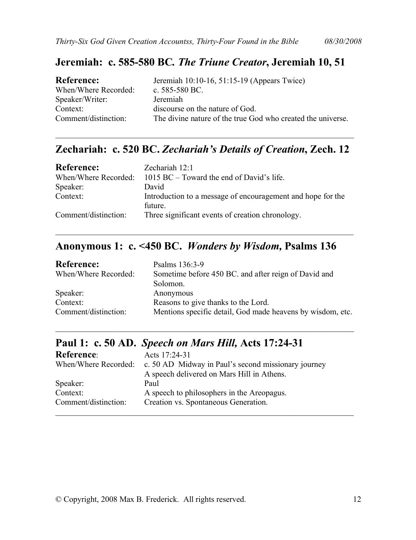#### <span id="page-11-0"></span>**Jeremiah: c. 585-580 BC***. The Triune Creator***, Jeremiah 10, 51**

| <b>Reference:</b>    | Jeremiah 10:10-16, 51:15-19 (Appears Twice)                 |
|----------------------|-------------------------------------------------------------|
| When/Where Recorded: | c. $585-580$ BC.                                            |
| Speaker/Writer:      | Jeremiah                                                    |
| Context:             | discourse on the nature of God.                             |
| Comment/distinction: | The divine nature of the true God who created the universe. |

#### **Zechariah: c. 520 BC.** *Zechariah's Details of Creation***, Zech. 12**

\_\_\_\_\_\_\_\_\_\_\_\_\_\_\_\_\_\_\_\_\_\_\_\_\_\_\_\_\_\_\_\_\_\_\_\_\_\_\_\_\_\_\_\_\_\_\_\_\_\_\_\_\_\_\_\_\_\_\_\_\_\_\_\_\_\_\_\_\_\_\_\_\_

| <b>Reference:</b>    | Zechariah 12:1                                                         |
|----------------------|------------------------------------------------------------------------|
| When/Where Recorded: | 1015 BC – Toward the end of David's life.                              |
| Speaker:             | David                                                                  |
| Context:             | Introduction to a message of encouragement and hope for the<br>future. |
| Comment/distinction: | Three significant events of creation chronology.                       |

#### **Anonymous 1: c. <450 BC.** *Wonders by Wisdom,* **Psalms 136**

\_\_\_\_\_\_\_\_\_\_\_\_\_\_\_\_\_\_\_\_\_\_\_\_\_\_\_\_\_\_\_\_\_\_\_\_\_\_\_\_\_\_\_\_\_\_\_\_\_\_\_\_\_\_\_\_\_\_\_\_\_\_\_\_\_\_\_\_\_\_\_\_\_

| <b>Reference:</b>    | Psalms 136:3-9                                             |
|----------------------|------------------------------------------------------------|
| When/Where Recorded: | Sometime before 450 BC, and after reign of David and       |
|                      | Solomon.                                                   |
| Speaker:             | Anonymous                                                  |
| Context:             | Reasons to give thanks to the Lord.                        |
| Comment/distinction: | Mentions specific detail, God made heavens by wisdom, etc. |

\_\_\_\_\_\_\_\_\_\_\_\_\_\_\_\_\_\_\_\_\_\_\_\_\_\_\_\_\_\_\_\_\_\_\_\_\_\_\_\_\_\_\_\_\_\_\_\_\_\_\_\_\_\_\_\_\_\_\_\_\_\_\_\_\_\_\_\_\_\_\_\_\_

#### **Paul 1: c. 50 AD.** *Speech on Mars Hill,* **Acts 17:24-31**

| <b>Reference:</b>    | Acts 17:24-31                                                            |
|----------------------|--------------------------------------------------------------------------|
|                      | When/Where Recorded: c. 50 AD Midway in Paul's second missionary journey |
|                      | A speech delivered on Mars Hill in Athens.                               |
| Speaker:             | Paul                                                                     |
| Context:             | A speech to philosophers in the Areopagus.                               |
| Comment/distinction: | Creation vs. Spontaneous Generation.                                     |
|                      |                                                                          |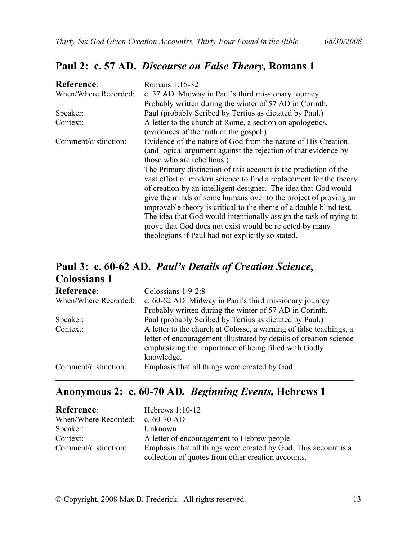#### <span id="page-12-0"></span>**Paul 2: c. 57 AD.** *Discourse on False Theory,* **Romans 1**

| <b>Reference:</b>    | Romans 1:15-32                                                     |
|----------------------|--------------------------------------------------------------------|
| When/Where Recorded: | c. 57 AD Midway in Paul's third missionary journey                 |
|                      | Probably written during the winter of 57 AD in Corinth.            |
| Speaker:             | Paul (probably Scribed by Tertius as dictated by Paul.)            |
| Context:             | A letter to the church at Rome, a section on apologetics,          |
|                      | (evidences of the truth of the gospel.)                            |
| Comment/distinction: | Evidence of the nature of God from the nature of His Creation.     |
|                      | (and logical argument against the rejection of that evidence by    |
|                      | those who are rebellious.)                                         |
|                      | The Primary distinction of this account is the prediction of the   |
|                      | vast effort of modern science to find a replacement for the theory |
|                      | of creation by an intelligent designer. The idea that God would    |
|                      | give the minds of some humans over to the project of proving an    |
|                      | unprovable theory is critical to the theme of a double blind test. |
|                      | The idea that God would intentionally assign the task of trying to |
|                      | prove that God does not exist would be rejected by many            |
|                      | theologians if Paul had not explicitly so stated.                  |

#### **Paul 3: c. 60-62 AD.** *Paul's Details of Creation Science***, Colossians 1**

| <b>Reference:</b>    | Colossians $1:9-2:8$                                                                                                        |
|----------------------|-----------------------------------------------------------------------------------------------------------------------------|
| When/Where Recorded: | c. 60-62 AD Midway in Paul's third missionary journey                                                                       |
|                      | Probably written during the winter of 57 AD in Corinth.                                                                     |
| Speaker:             | Paul (probably Scribed by Tertius as dictated by Paul.)                                                                     |
| Context:             | A letter to the church at Colosse, a warning of false teachings, a                                                          |
|                      | letter of encouragement illustrated by details of creation science<br>emphasizing the importance of being filled with Godly |
|                      | knowledge.                                                                                                                  |
| Comment/distinction: | Emphasis that all things were created by God.                                                                               |

\_\_\_\_\_\_\_\_\_\_\_\_\_\_\_\_\_\_\_\_\_\_\_\_\_\_\_\_\_\_\_\_\_\_\_\_\_\_\_\_\_\_\_\_\_\_\_\_\_\_\_\_\_\_\_\_\_\_\_\_\_\_\_\_\_\_\_\_\_\_\_\_\_

#### **Anonymous 2: c. 60-70 AD***. Beginning Events***, Hebrews 1**

| <b>Reference:</b>                | Hebrews $1:10-12$                                               |
|----------------------------------|-----------------------------------------------------------------|
| When/Where Recorded: c. 60-70 AD |                                                                 |
| Speaker:                         | Unknown                                                         |
| Context:                         | A letter of encouragement to Hebrew people                      |
| Comment/distinction:             | Emphasis that all things were created by God. This account is a |
|                                  | collection of quotes from other creation accounts.              |

\_\_\_\_\_\_\_\_\_\_\_\_\_\_\_\_\_\_\_\_\_\_\_\_\_\_\_\_\_\_\_\_\_\_\_\_\_\_\_\_\_\_\_\_\_\_\_\_\_\_\_\_\_\_\_\_\_\_\_\_\_\_\_\_\_\_\_\_\_\_\_\_\_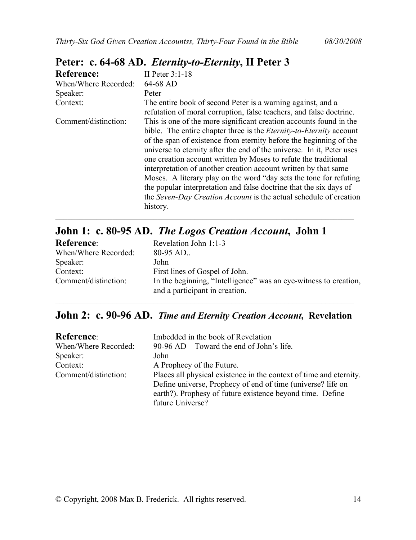| <b>Reference:</b>    | II Peter $3:1-18$                                                                                                                                                                                                                                                                                                                                                                                                                                                                                                                                                                                                                                                  |
|----------------------|--------------------------------------------------------------------------------------------------------------------------------------------------------------------------------------------------------------------------------------------------------------------------------------------------------------------------------------------------------------------------------------------------------------------------------------------------------------------------------------------------------------------------------------------------------------------------------------------------------------------------------------------------------------------|
| When/Where Recorded: | 64-68 AD                                                                                                                                                                                                                                                                                                                                                                                                                                                                                                                                                                                                                                                           |
| Speaker:             | Peter                                                                                                                                                                                                                                                                                                                                                                                                                                                                                                                                                                                                                                                              |
| Context:             | The entire book of second Peter is a warning against, and a<br>refutation of moral corruption, false teachers, and false doctrine.                                                                                                                                                                                                                                                                                                                                                                                                                                                                                                                                 |
| Comment/distinction: | This is one of the more significant creation accounts found in the<br>bible. The entire chapter three is the <i>Eternity-to-Eternity</i> account<br>of the span of existence from eternity before the beginning of the<br>universe to eternity after the end of the universe. In it, Peter uses<br>one creation account written by Moses to refute the traditional<br>interpretation of another creation account written by that same<br>Moses. A literary play on the word "day sets the tone for refuting<br>the popular interpretation and false doctrine that the six days of<br>the Seven-Day Creation Account is the actual schedule of creation<br>history. |

#### <span id="page-13-0"></span>**Peter: c. 64-68 AD.** *Eternity-to-Eternity***, II Peter 3**

| John 1: c. 80-95 AD. The Logos Creation Account, John 1 |                                                                                                    |
|---------------------------------------------------------|----------------------------------------------------------------------------------------------------|
| <b>Reference:</b>                                       | Revelation John 1:1-3                                                                              |
| When/Where Recorded:                                    | $80-95$ AD                                                                                         |
| Speaker:                                                | John                                                                                               |
| Context:                                                | First lines of Gospel of John.                                                                     |
| Comment/distinction:                                    | In the beginning, "Intelligence" was an eye-witness to creation,<br>and a participant in creation. |
|                                                         |                                                                                                    |

\_\_\_\_\_\_\_\_\_\_\_\_\_\_\_\_\_\_\_\_\_\_\_\_\_\_\_\_\_\_\_\_\_\_\_\_\_\_\_\_\_\_\_\_\_\_\_\_\_\_\_\_\_\_\_\_\_\_\_\_\_\_\_\_\_\_\_\_\_\_\_\_\_

#### **John 2: c. 90-96 AD.** *Time and Eternity Creation Account***, Revelation**

| <b>Reference:</b>    | Imbedded in the book of Revelation                                                                                       |
|----------------------|--------------------------------------------------------------------------------------------------------------------------|
| When/Where Recorded: | 90-96 AD – Toward the end of John's life.                                                                                |
| Speaker:             | John                                                                                                                     |
| Context:             | A Prophecy of the Future.                                                                                                |
| Comment/distinction: | Places all physical existence in the context of time and eternity.                                                       |
|                      | Define universe, Prophecy of end of time (universe? life on<br>earth?). Prophesy of future existence beyond time. Define |
|                      | future Universe?                                                                                                         |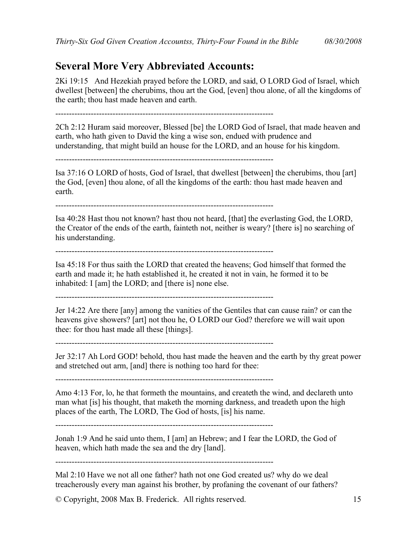#### <span id="page-14-0"></span>**Several More Very Abbreviated Accounts:**

2Ki 19:15 And Hezekiah prayed before the LORD, and said, O LORD God of Israel, which dwellest [between] the cherubims, thou art the God, [even] thou alone, of all the kingdoms of the earth; thou hast made heaven and earth.

--------------------------------------------------------------------------------

2Ch 2:12 Huram said moreover, Blessed [be] the LORD God of Israel, that made heaven and earth, who hath given to David the king a wise son, endued with prudence and understanding, that might build an house for the LORD, and an house for his kingdom.

--------------------------------------------------------------------------------

Isa 37:16 O LORD of hosts, God of Israel, that dwellest [between] the cherubims, thou [art] the God, [even] thou alone, of all the kingdoms of the earth: thou hast made heaven and earth.

--------------------------------------------------------------------------------

Isa 40:28 Hast thou not known? hast thou not heard, [that] the everlasting God, the LORD, the Creator of the ends of the earth, fainteth not, neither is weary? [there is] no searching of his understanding.

--------------------------------------------------------------------------------

Isa 45:18 For thus saith the LORD that created the heavens; God himself that formed the earth and made it; he hath established it, he created it not in vain, he formed it to be inhabited: I [am] the LORD; and [there is] none else.

--------------------------------------------------------------------------------

Jer 14:22 Are there [any] among the vanities of the Gentiles that can cause rain? or can the heavens give showers? [art] not thou he, O LORD our God? therefore we will wait upon thee: for thou hast made all these [things].

--------------------------------------------------------------------------------

Jer 32:17 Ah Lord GOD! behold, thou hast made the heaven and the earth by thy great power and stretched out arm, [and] there is nothing too hard for thee:

--------------------------------------------------------------------------------

Amo 4:13 For, lo, he that formeth the mountains, and createth the wind, and declareth unto man what [is] his thought, that maketh the morning darkness, and treadeth upon the high places of the earth, The LORD, The God of hosts, [is] his name.

--------------------------------------------------------------------------------

Jonah 1:9 And he said unto them, I [am] an Hebrew; and I fear the LORD, the God of heaven, which hath made the sea and the dry [land].

--------------------------------------------------------------------------------

Mal 2:10 Have we not all one father? hath not one God created us? why do we deal treacherously every man against his brother, by profaning the covenant of our fathers?